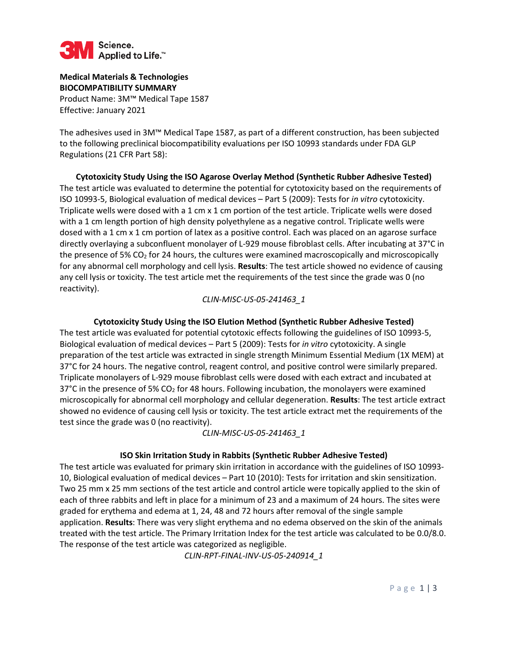

**Medical Materials & Technologies BIOCOMPATIBILITY SUMMARY**  Product Name: 3M™ Medical Tape 1587 Effective: January 2021

The adhesives used in 3M™ Medical Tape 1587, as part of a different construction, has been subjected to the following preclinical biocompatibility evaluations per ISO 10993 standards under FDA GLP Regulations (21 CFR Part 58):

**Cytotoxicity Study Using the ISO Agarose Overlay Method (Synthetic Rubber Adhesive Tested)**  The test article was evaluated to determine the potential for cytotoxicity based on the requirements of ISO 10993-5, Biological evaluation of medical devices – Part 5 (2009): Tests for *in vitro* cytotoxicity. Triplicate wells were dosed with a 1 cm x 1 cm portion of the test article. Triplicate wells were dosed with a 1 cm length portion of high density polyethylene as a negative control. Triplicate wells were dosed with a 1 cm x 1 cm portion of latex as a positive control. Each was placed on an agarose surface directly overlaying a subconfluent monolayer of L-929 mouse fibroblast cells. After incubating at 37°C in the presence of 5% CO<sub>2</sub> for 24 hours, the cultures were examined macroscopically and microscopically for any abnormal cell morphology and cell lysis. **Results**: The test article showed no evidence of causing any cell lysis or toxicity. The test article met the requirements of the test since the grade was 0 (no reactivity).

### *CLIN-MISC-US-05-241463\_1*

### **Cytotoxicity Study Using the ISO Elution Method (Synthetic Rubber Adhesive Tested)**

The test article was evaluated for potential cytotoxic effects following the guidelines of ISO 10993-5, Biological evaluation of medical devices – Part 5 (2009): Tests for *in vitro* cytotoxicity. A single preparation of the test article was extracted in single strength Minimum Essential Medium (1X MEM) at 37°C for 24 hours. The negative control, reagent control, and positive control were similarly prepared. Triplicate monolayers of L-929 mouse fibroblast cells were dosed with each extract and incubated at 37°C in the presence of 5%  $CO<sub>2</sub>$  for 48 hours. Following incubation, the monolayers were examined microscopically for abnormal cell morphology and cellular degeneration. **Results**: The test article extract showed no evidence of causing cell lysis or toxicity. The test article extract met the requirements of the test since the grade was 0 (no reactivity).

### *CLIN-MISC-US-05-241463\_1*

### **ISO Skin Irritation Study in Rabbits (Synthetic Rubber Adhesive Tested)**

The test article was evaluated for primary skin irritation in accordance with the guidelines of ISO 10993- 10, Biological evaluation of medical devices – Part 10 (2010): Tests for irritation and skin sensitization. Two 25 mm x 25 mm sections of the test article and control article were topically applied to the skin of each of three rabbits and left in place for a minimum of 23 and a maximum of 24 hours. The sites were graded for erythema and edema at 1, 24, 48 and 72 hours after removal of the single sample application. **Results**: There was very slight erythema and no edema observed on the skin of the animals treated with the test article. The Primary Irritation Index for the test article was calculated to be 0.0/8.0. The response of the test article was categorized as negligible.

*CLIN-RPT-FINAL-INV-US-05-240914\_1*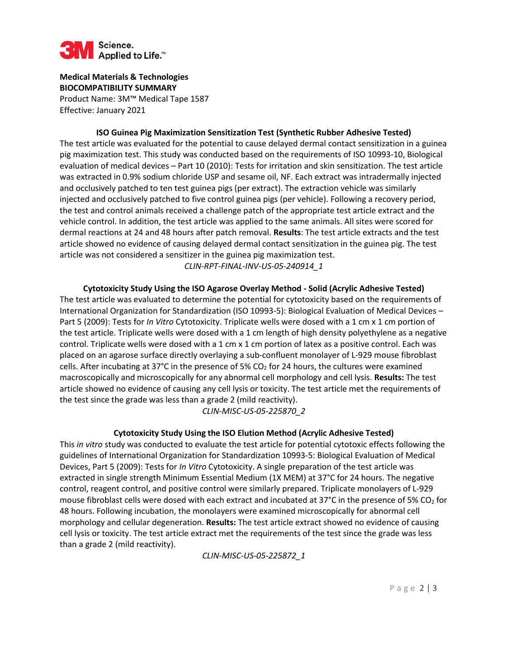

**Medical Materials & Technologies BIOCOMPATIBILITY SUMMARY**  Product Name: 3M™ Medical Tape 1587 Effective: January 2021

**ISO Guinea Pig Maximization Sensitization Test (Synthetic Rubber Adhesive Tested)**  The test article was evaluated for the potential to cause delayed dermal contact sensitization in a guinea pig maximization test. This study was conducted based on the requirements of ISO 10993-10, Biological evaluation of medical devices – Part 10 (2010): Tests for irritation and skin sensitization. The test article was extracted in 0.9% sodium chloride USP and sesame oil, NF. Each extract was intradermally injected and occlusively patched to ten test guinea pigs (per extract). The extraction vehicle was similarly injected and occlusively patched to five control guinea pigs (per vehicle). Following a recovery period, the test and control animals received a challenge patch of the appropriate test article extract and the vehicle control. In addition, the test article was applied to the same animals. All sites were scored for dermal reactions at 24 and 48 hours after patch removal. **Results**: The test article extracts and the test article showed no evidence of causing delayed dermal contact sensitization in the guinea pig. The test article was not considered a sensitizer in the guinea pig maximization test.

*CLIN-RPT-FINAL-INV-US-05-240914\_1* 

**Cytotoxicity Study Using the ISO Agarose Overlay Method - Solid (Acrylic Adhesive Tested)**  The test article was evaluated to determine the potential for cytotoxicity based on the requirements of International Organization for Standardization (ISO 10993-5): Biological Evaluation of Medical Devices – Part 5 (2009): Tests for *In Vitro* Cytotoxicity. Triplicate wells were dosed with a 1 cm x 1 cm portion of the test article. Triplicate wells were dosed with a 1 cm length of high density polyethylene as a negative control. Triplicate wells were dosed with a 1 cm x 1 cm portion of latex as a positive control. Each was placed on an agarose surface directly overlaying a sub-confluent monolayer of L-929 mouse fibroblast cells. After incubating at 37°C in the presence of 5% CO<sub>2</sub> for 24 hours, the cultures were examined macroscopically and microscopically for any abnormal cell morphology and cell lysis. **Results:** The test article showed no evidence of causing any cell lysis or toxicity. The test article met the requirements of the test since the grade was less than a grade 2 (mild reactivity).

*CLIN-MISC-US-05-225870\_2*

## **Cytotoxicity Study Using the ISO Elution Method (Acrylic Adhesive Tested)**

This *in vitro* study was conducted to evaluate the test article for potential cytotoxic effects following the guidelines of International Organization for Standardization 10993-5: Biological Evaluation of Medical Devices, Part 5 (2009): Tests for *In Vitro* Cytotoxicity. A single preparation of the test article was extracted in single strength Minimum Essential Medium (1X MEM) at 37°C for 24 hours. The negative control, reagent control, and positive control were similarly prepared. Triplicate monolayers of L-929 mouse fibroblast cells were dosed with each extract and incubated at 37°C in the presence of 5% CO<sub>2</sub> for 48 hours. Following incubation, the monolayers were examined microscopically for abnormal cell morphology and cellular degeneration. **Results:** The test article extract showed no evidence of causing cell lysis or toxicity. The test article extract met the requirements of the test since the grade was less than a grade 2 (mild reactivity).

*CLIN-MISC-US-05-225872\_1*